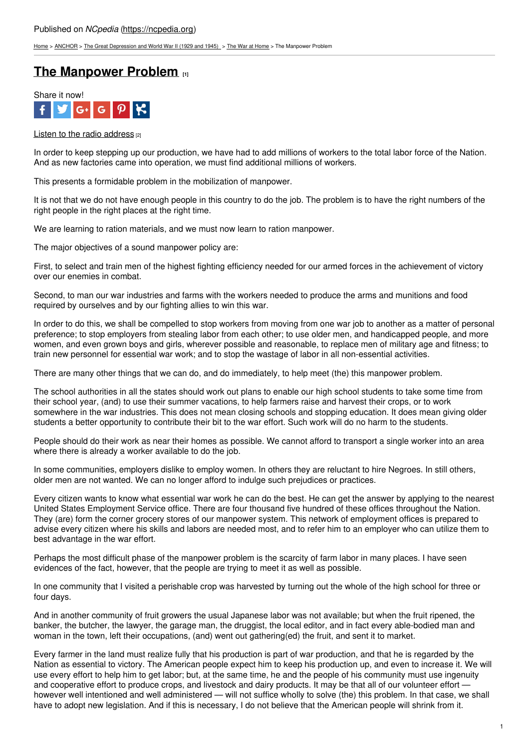[Home](https://ncpedia.org/) > [ANCHOR](https://ncpedia.org/anchor/anchor) > The Great [Depression](https://ncpedia.org/anchor/great-depression-and-world) and World War II (1929 and 1945) > The War at [Home](https://ncpedia.org/anchor/war-home) > The Manpower Problem

## **The [Manpower](https://ncpedia.org/anchor/manpower-problem) Problem [1]**



## Listen to the radio [address](https://www.youtube.com/watch?v=5cJwKV1JNcU)  $[2]$

In order to keep stepping up our production, we have had to add millions of workers to the total labor force of the Nation. And as new factories came into operation, we must find additional millions of workers.

This presents a formidable problem in the mobilization of manpower.

It is not that we do not have enough people in this country to do the job. The problem is to have the right numbers of the right people in the right places at the right time.

We are learning to ration materials, and we must now learn to ration manpower.

The major objectives of a sound m[anpower](http://www.social9.com) policy are:

First, to select and train men of the highest fighting efficiency needed for our armed forces in the achievement of victory over our enemies in combat.

Second, to man our war industries and farms with the workers needed to produce the arms and munitions and food required by ourselves and by our fighting allies to win this war.

In order to do this, we shall be compelled to stop workers from moving from one war job to another as a matter of personal preference; to stop employers from stealing labor from each other; to use older men, and handicapped people, and more women, and even grown boys and girls, wherever possible and reasonable, to replace men of military age and fitness; to train new personnel for essential war work; and to stop the wastage of labor in all non-essential activities.

There are many other things that we can do, and do immediately, to help meet (the) this manpower problem.

The school authorities in all the states should work out plans to enable our high school students to take some time from their school year, (and) to use their summer vacations, to help farmers raise and harvest their crops, or to work somewhere in the war industries. This does not mean closing schools and stopping education. It does mean giving older students a better opportunity to contribute their bit to the war effort. Such work will do no harm to the students.

People should do their work as near their homes as possible. We cannot afford to transport a single worker into an area where there is already a worker available to do the job.

In some communities, employers dislike to employ women. In others they are reluctant to hire Negroes. In still others, older men are not wanted. We can no longer afford to indulge such prejudices or practices.

Every citizen wants to know what essential war work he can do the best. He can get the answer by applying to the nearest United States Employment Service office. There are four thousand five hundred of these offices throughout the Nation. They (are) form the corner grocery stores of our manpower system. This network of employment offices is prepared to advise every citizen where his skills and labors are needed most, and to refer him to an employer who can utilize them to best advantage in the war effort.

Perhaps the most difficult phase of the manpower problem is the scarcity of farm labor in many places. I have seen evidences of the fact, however, that the people are trying to meet it as well as possible.

In one community that I visited a perishable crop was harvested by turning out the whole of the high school for three or four days.

And in another community of fruit growers the usual Japanese labor was not available; but when the fruit ripened, the banker, the butcher, the lawyer, the garage man, the druggist, the local editor, and in fact every able-bodied man and woman in the town, left their occupations, (and) went out gathering(ed) the fruit, and sent it to market.

Every farmer in the land must realize fully that his production is part of war production, and that he is regarded by the Nation as essential to victory. The American people expect him to keep his production up, and even to increase it. We will use every effort to help him to get labor; but, at the same time, he and the people of his community must use ingenuity and cooperative effort to produce crops, and livestock and dairy products. It may be that all of our volunteer effort however well intentioned and well administered — will not suffice wholly to solve (the) this problem. In that case, we shall have to adopt new legislation. And if this is necessary, I do not believe that the American people will shrink from it.